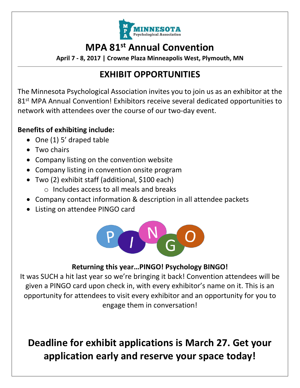

# **MPA 81st Annual Convention**

**April 7 - 8, 2017 | Crowne Plaza Minneapolis West, Plymouth, MN**

## **EXHIBIT OPPORTUNITIES**

The Minnesota Psychological Association invites you to join us as an exhibitor at the 81<sup>st</sup> MPA Annual Convention! Exhibitors receive several dedicated opportunities to network with attendees over the course of our two-day event.

#### **Benefits of exhibiting include:**

- One (1) 5' draped table
- Two chairs
- Company listing on the convention website
- Company listing in convention onsite program
- Two (2) exhibit staff (additional, \$100 each)
	- o Includes access to all meals and breaks
- Company contact information & description in all attendee packets
- Listing on attendee PINGO card



#### **Returning this year…PINGO! Psychology BINGO!**

It was SUCH a hit last year so we're bringing it back! Convention attendees will be given a PINGO card upon check in, with every exhibitor's name on it. This is an opportunity for attendees to visit every exhibitor and an opportunity for you to engage them in conversation!

# **Deadline for exhibit applications is March 27. Get your application early and reserve your space today!**